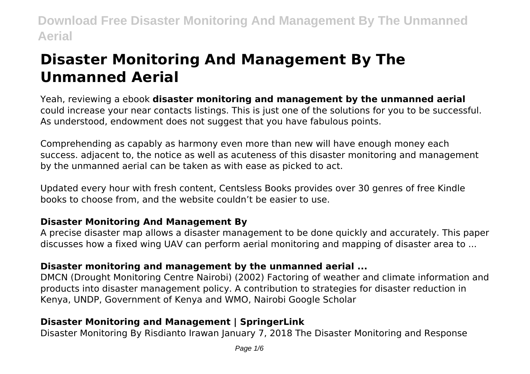# **Disaster Monitoring And Management By The Unmanned Aerial**

Yeah, reviewing a ebook **disaster monitoring and management by the unmanned aerial** could increase your near contacts listings. This is just one of the solutions for you to be successful. As understood, endowment does not suggest that you have fabulous points.

Comprehending as capably as harmony even more than new will have enough money each success. adjacent to, the notice as well as acuteness of this disaster monitoring and management by the unmanned aerial can be taken as with ease as picked to act.

Updated every hour with fresh content, Centsless Books provides over 30 genres of free Kindle books to choose from, and the website couldn't be easier to use.

# **Disaster Monitoring And Management By**

A precise disaster map allows a disaster management to be done quickly and accurately. This paper discusses how a fixed wing UAV can perform aerial monitoring and mapping of disaster area to ...

# **Disaster monitoring and management by the unmanned aerial ...**

DMCN (Drought Monitoring Centre Nairobi) (2002) Factoring of weather and climate information and products into disaster management policy. A contribution to strategies for disaster reduction in Kenya, UNDP, Government of Kenya and WMO, Nairobi Google Scholar

# **Disaster Monitoring and Management | SpringerLink**

Disaster Monitoring By Risdianto Irawan January 7, 2018 The Disaster Monitoring and Response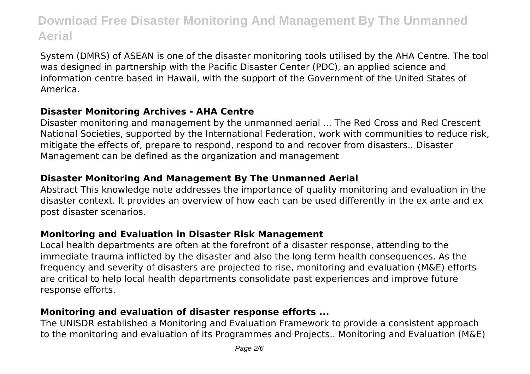System (DMRS) of ASEAN is one of the disaster monitoring tools utilised by the AHA Centre. The tool was designed in partnership with the Pacific Disaster Center (PDC), an applied science and information centre based in Hawaii, with the support of the Government of the United States of America.

#### **Disaster Monitoring Archives - AHA Centre**

Disaster monitoring and management by the unmanned aerial ... The Red Cross and Red Crescent National Societies, supported by the International Federation, work with communities to reduce risk, mitigate the effects of, prepare to respond, respond to and recover from disasters.. Disaster Management can be defined as the organization and management

#### **Disaster Monitoring And Management By The Unmanned Aerial**

Abstract This knowledge note addresses the importance of quality monitoring and evaluation in the disaster context. It provides an overview of how each can be used differently in the ex ante and ex post disaster scenarios.

#### **Monitoring and Evaluation in Disaster Risk Management**

Local health departments are often at the forefront of a disaster response, attending to the immediate trauma inflicted by the disaster and also the long term health consequences. As the frequency and severity of disasters are projected to rise, monitoring and evaluation (M&E) efforts are critical to help local health departments consolidate past experiences and improve future response efforts.

#### **Monitoring and evaluation of disaster response efforts ...**

The UNISDR established a Monitoring and Evaluation Framework to provide a consistent approach to the monitoring and evaluation of its Programmes and Projects.. Monitoring and Evaluation (M&E)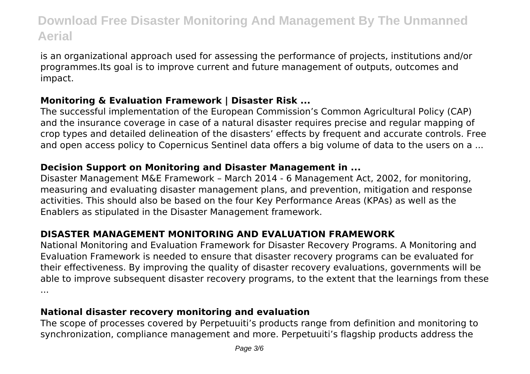is an organizational approach used for assessing the performance of projects, institutions and/or programmes.Its goal is to improve current and future management of outputs, outcomes and impact.

#### **Monitoring & Evaluation Framework | Disaster Risk ...**

The successful implementation of the European Commission's Common Agricultural Policy (CAP) and the insurance coverage in case of a natural disaster requires precise and regular mapping of crop types and detailed delineation of the disasters' effects by frequent and accurate controls. Free and open access policy to Copernicus Sentinel data offers a big volume of data to the users on a ...

#### **Decision Support on Monitoring and Disaster Management in ...**

Disaster Management M&E Framework – March 2014 - 6 Management Act, 2002, for monitoring, measuring and evaluating disaster management plans, and prevention, mitigation and response activities. This should also be based on the four Key Performance Areas (KPAs) as well as the Enablers as stipulated in the Disaster Management framework.

# **DISASTER MANAGEMENT MONITORING AND EVALUATION FRAMEWORK**

National Monitoring and Evaluation Framework for Disaster Recovery Programs. A Monitoring and Evaluation Framework is needed to ensure that disaster recovery programs can be evaluated for their effectiveness. By improving the quality of disaster recovery evaluations, governments will be able to improve subsequent disaster recovery programs, to the extent that the learnings from these ...

#### **National disaster recovery monitoring and evaluation**

The scope of processes covered by Perpetuuiti's products range from definition and monitoring to synchronization, compliance management and more. Perpetuuiti's flagship products address the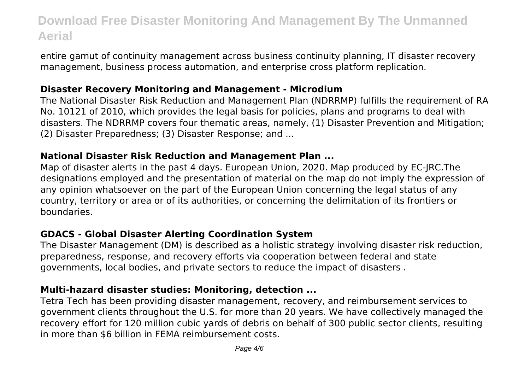entire gamut of continuity management across business continuity planning, IT disaster recovery management, business process automation, and enterprise cross platform replication.

#### **Disaster Recovery Monitoring and Management - Microdium**

The National Disaster Risk Reduction and Management Plan (NDRRMP) fulfills the requirement of RA No. 10121 of 2010, which provides the legal basis for policies, plans and programs to deal with disasters. The NDRRMP covers four thematic areas, namely, (1) Disaster Prevention and Mitigation; (2) Disaster Preparedness; (3) Disaster Response; and ...

#### **National Disaster Risk Reduction and Management Plan ...**

Map of disaster alerts in the past 4 days. European Union, 2020. Map produced by EC-JRC.The designations employed and the presentation of material on the map do not imply the expression of any opinion whatsoever on the part of the European Union concerning the legal status of any country, territory or area or of its authorities, or concerning the delimitation of its frontiers or boundaries.

#### **GDACS - Global Disaster Alerting Coordination System**

The Disaster Management (DM) is described as a holistic strategy involving disaster risk reduction, preparedness, response, and recovery efforts via cooperation between federal and state governments, local bodies, and private sectors to reduce the impact of disasters .

#### **Multi-hazard disaster studies: Monitoring, detection ...**

Tetra Tech has been providing disaster management, recovery, and reimbursement services to government clients throughout the U.S. for more than 20 years. We have collectively managed the recovery effort for 120 million cubic yards of debris on behalf of 300 public sector clients, resulting in more than \$6 billion in FEMA reimbursement costs.